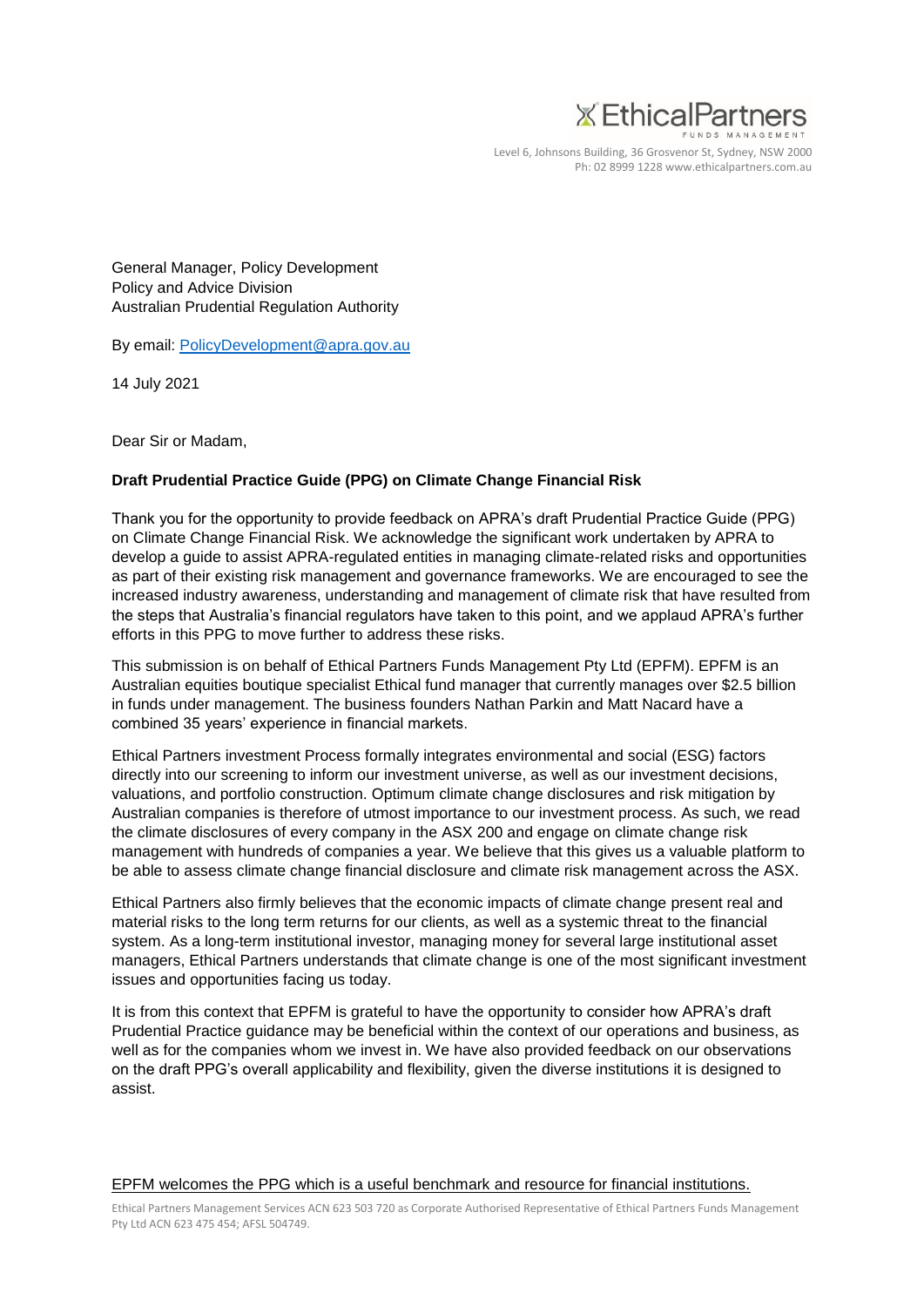

Level 6, Johnsons Building, 36 Grosvenor St, Sydney, NSW 2000 Ph: 02 8999 1228 www.ethicalpartners.com.au

General Manager, Policy Development Policy and Advice Division Australian Prudential Regulation Authority

By email: PolicyDevelopment@apra.gov.au

14 July 2021

Dear Sir or Madam,

## **Draft Prudential Practice Guide (PPG) on Climate Change Financial Risk**

Thank you for the opportunity to provide feedback on APRA's draft Prudential Practice Guide (PPG) on Climate Change Financial Risk. We acknowledge the significant work undertaken by APRA to develop a guide to assist APRA-regulated entities in managing climate-related risks and opportunities as part of their existing risk management and governance frameworks. We are encouraged to see the increased industry awareness, understanding and management of climate risk that have resulted from the steps that Australia's financial regulators have taken to this point, and we applaud APRA's further efforts in this PPG to move further to address these risks.

This submission is on behalf of Ethical Partners Funds Management Pty Ltd (EPFM). EPFM is an Australian equities boutique specialist Ethical fund manager that currently manages over \$2.5 billion in funds under management. The business founders Nathan Parkin and Matt Nacard have a combined 35 years' experience in financial markets.

Ethical Partners investment Process formally integrates environmental and social (ESG) factors directly into our screening to inform our investment universe, as well as our investment decisions, valuations, and portfolio construction. Optimum climate change disclosures and risk mitigation by Australian companies is therefore of utmost importance to our investment process. As such, we read the climate disclosures of every company in the ASX 200 and engage on climate change risk management with hundreds of companies a year. We believe that this gives us a valuable platform to be able to assess climate change financial disclosure and climate risk management across the ASX.

Ethical Partners also firmly believes that the economic impacts of climate change present real and material risks to the long term returns for our clients, as well as a systemic threat to the financial system. As a long-term institutional investor, managing money for several large institutional asset managers, Ethical Partners understands that climate change is one of the most significant investment issues and opportunities facing us today.

It is from this context that EPFM is grateful to have the opportunity to consider how APRA's draft Prudential Practice guidance may be beneficial within the context of our operations and business, as well as for the companies whom we invest in. We have also provided feedback on our observations on the draft PPG's overall applicability and flexibility, given the diverse institutions it is designed to assist.

## EPFM welcomes the PPG which is a useful benchmark and resource for financial institutions.

Ethical Partners Management Services ACN 623 503 720 as Corporate Authorised Representative of Ethical Partners Funds Management Pty Ltd ACN 623 475 454; AFSL 504749.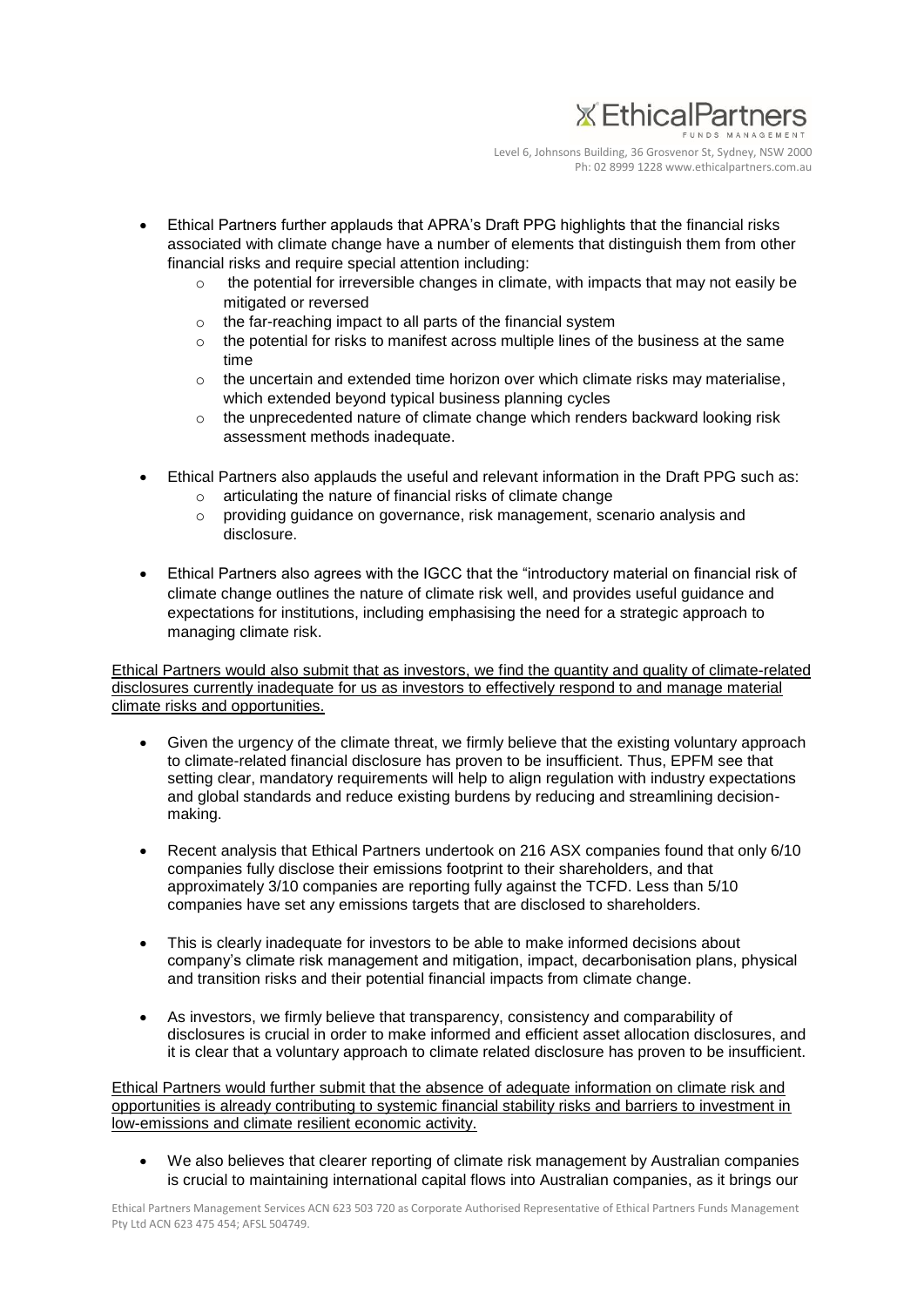

Level 6, Johnsons Building, 36 Grosvenor St, Sydney, NSW 2000 Ph: 02 8999 1228 www.ethicalpartners.com.au

- Ethical Partners further applauds that APRA's Draft PPG highlights that the financial risks associated with climate change have a number of elements that distinguish them from other financial risks and require special attention including:
	- $\circ$  the potential for irreversible changes in climate, with impacts that may not easily be mitigated or reversed
	- o the far-reaching impact to all parts of the financial system
	- $\circ$  the potential for risks to manifest across multiple lines of the business at the same time
	- $\circ$  the uncertain and extended time horizon over which climate risks may materialise. which extended beyond typical business planning cycles
	- $\circ$  the unprecedented nature of climate change which renders backward looking risk assessment methods inadequate.
- Ethical Partners also applauds the useful and relevant information in the Draft PPG such as:
	- articulating the nature of financial risks of climate change
	- $\circ$  providing guidance on governance, risk management, scenario analysis and disclosure.
- Ethical Partners also agrees with the IGCC that the "introductory material on financial risk of climate change outlines the nature of climate risk well, and provides useful guidance and expectations for institutions, including emphasising the need for a strategic approach to managing climate risk.

Ethical Partners would also submit that as investors, we find the quantity and quality of climate-related disclosures currently inadequate for us as investors to effectively respond to and manage material climate risks and opportunities.

- Given the urgency of the climate threat, we firmly believe that the existing voluntary approach to climate-related financial disclosure has proven to be insufficient. Thus, EPFM see that setting clear, mandatory requirements will help to align regulation with industry expectations and global standards and reduce existing burdens by reducing and streamlining decisionmaking.
- Recent analysis that Ethical Partners undertook on 216 ASX companies found that only 6/10 companies fully disclose their emissions footprint to their shareholders, and that approximately 3/10 companies are reporting fully against the TCFD. Less than 5/10 companies have set any emissions targets that are disclosed to shareholders.
- This is clearly inadequate for investors to be able to make informed decisions about company's climate risk management and mitigation, impact, decarbonisation plans, physical and transition risks and their potential financial impacts from climate change.
- As investors, we firmly believe that transparency, consistency and comparability of disclosures is crucial in order to make informed and efficient asset allocation disclosures, and it is clear that a voluntary approach to climate related disclosure has proven to be insufficient.

Ethical Partners would further submit that the absence of adequate information on climate risk and opportunities is already contributing to systemic financial stability risks and barriers to investment in low-emissions and climate resilient economic activity.

• We also believes that clearer reporting of climate risk management by Australian companies is crucial to maintaining international capital flows into Australian companies, as it brings our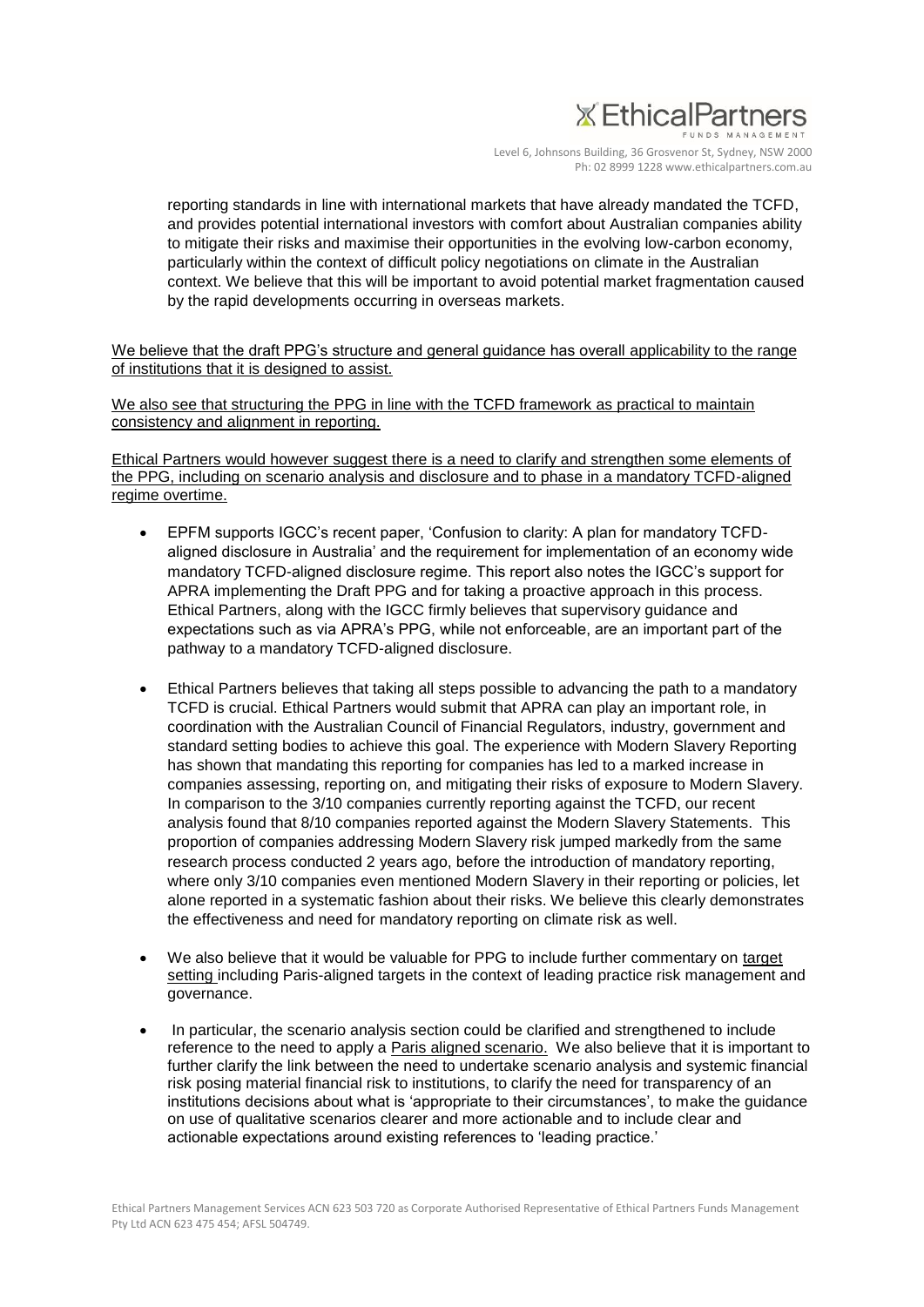## **X** EthicalPartners

Level 6, Johnsons Building, 36 Grosvenor St, Sydney, NSW 2000 Ph: 02 8999 1228 www.ethicalpartners.com.au

reporting standards in line with international markets that have already mandated the TCFD, and provides potential international investors with comfort about Australian companies ability to mitigate their risks and maximise their opportunities in the evolving low-carbon economy, particularly within the context of difficult policy negotiations on climate in the Australian context. We believe that this will be important to avoid potential market fragmentation caused by the rapid developments occurring in overseas markets.

We believe that the draft PPG's structure and general guidance has overall applicability to the range of institutions that it is designed to assist.

We also see that structuring the PPG in line with the TCFD framework as practical to maintain consistency and alignment in reporting.

Ethical Partners would however suggest there is a need to clarify and strengthen some elements of the PPG, including on scenario analysis and disclosure and to phase in a mandatory TCFD-aligned regime overtime.

- EPFM supports IGCC's recent paper, 'Confusion to clarity: A plan for mandatory TCFDaligned disclosure in Australia' and the requirement for implementation of an economy wide mandatory TCFD-aligned disclosure regime. This report also notes the IGCC's support for APRA implementing the Draft PPG and for taking a proactive approach in this process. Ethical Partners, along with the IGCC firmly believes that supervisory guidance and expectations such as via APRA's PPG, while not enforceable, are an important part of the pathway to a mandatory TCFD-aligned disclosure.
- Ethical Partners believes that taking all steps possible to advancing the path to a mandatory TCFD is crucial. Ethical Partners would submit that APRA can play an important role, in coordination with the Australian Council of Financial Regulators, industry, government and standard setting bodies to achieve this goal. The experience with Modern Slavery Reporting has shown that mandating this reporting for companies has led to a marked increase in companies assessing, reporting on, and mitigating their risks of exposure to Modern Slavery. In comparison to the 3/10 companies currently reporting against the TCFD, our recent analysis found that 8/10 companies reported against the Modern Slavery Statements. This proportion of companies addressing Modern Slavery risk jumped markedly from the same research process conducted 2 years ago, before the introduction of mandatory reporting, where only 3/10 companies even mentioned Modern Slavery in their reporting or policies, let alone reported in a systematic fashion about their risks. We believe this clearly demonstrates the effectiveness and need for mandatory reporting on climate risk as well.
- We also believe that it would be valuable for PPG to include further commentary on target setting including Paris-aligned targets in the context of leading practice risk management and governance.
- In particular, the scenario analysis section could be clarified and strengthened to include reference to the need to apply a Paris aligned scenario. We also believe that it is important to further clarify the link between the need to undertake scenario analysis and systemic financial risk posing material financial risk to institutions, to clarify the need for transparency of an institutions decisions about what is 'appropriate to their circumstances', to make the guidance on use of qualitative scenarios clearer and more actionable and to include clear and actionable expectations around existing references to 'leading practice.'